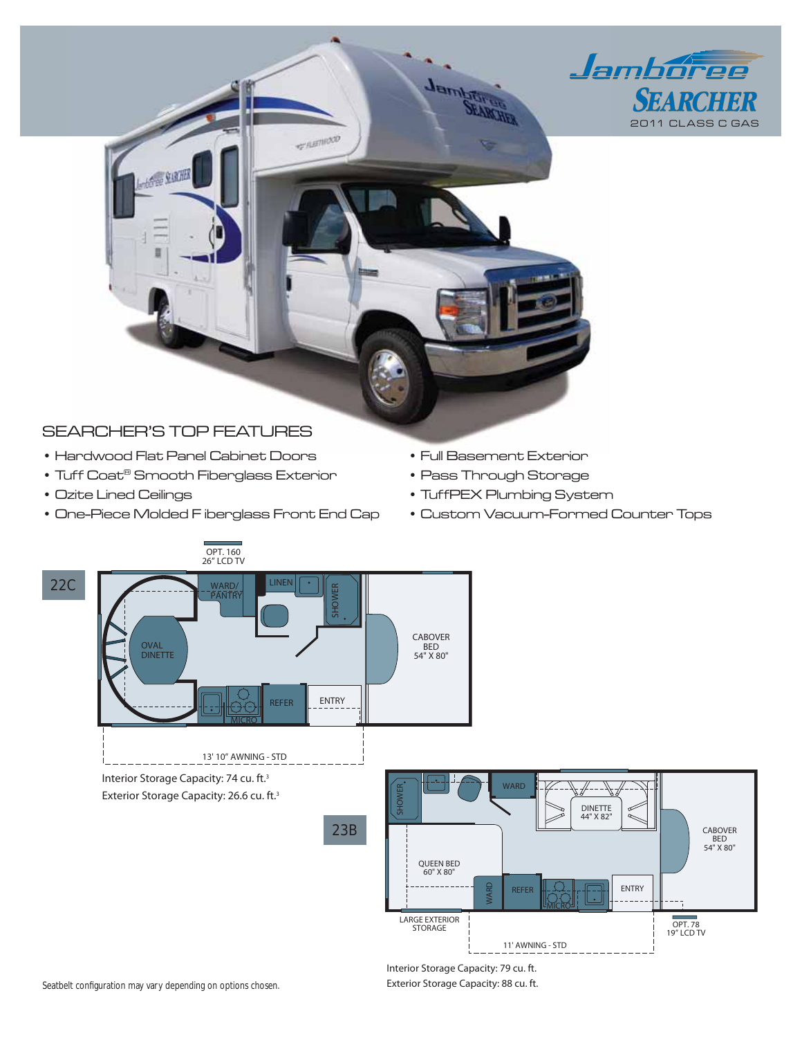

# SEARCHER'S TOP FEATURES

- Hardwood Flat Panel Cabinet Doors
- Tuff Coat® Smooth Fiberglass Exterior
- Ozite Lined Ceilings
- One-Piece Molded F iberglass Front End Cap
- Full Basement Exterior

Jambaras

**THERRY** 

- Pass Through Storage
- TuffPEX Plumbing System
- Custom Vacuum-Formed Counter Tops



Interior Storage Capacity: 79 cu. ft. Exterior Storage Capacity: 88 cu. ft.